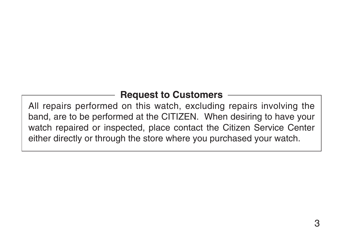# **Request to Customers**

All repairs performed on this watch, excluding repairs involving the band, are to be performed at the CITIZEN. When desiring to have your watch repaired or inspected, place contact the Citizen Service Center either directly or through the store where you purchased your watch.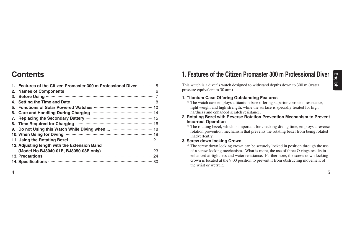## **Contents**

|    | 1. Features of the Citizen Promaster 300 m Professional Diver  5                                                                                                                                                              |  |
|----|-------------------------------------------------------------------------------------------------------------------------------------------------------------------------------------------------------------------------------|--|
|    | 2. Names of Components <b>COMPONERS</b> 6                                                                                                                                                                                     |  |
| 3. |                                                                                                                                                                                                                               |  |
|    | 4. Setting the Time and Date <b>manufacture of the Setting the Time and Date manufacture</b>                                                                                                                                  |  |
|    |                                                                                                                                                                                                                               |  |
|    |                                                                                                                                                                                                                               |  |
|    | 7. Replacing the Secondary Battery manufacture manufacture 15                                                                                                                                                                 |  |
|    | 8. Time Required for Charging <b>William Community</b> 16                                                                                                                                                                     |  |
|    |                                                                                                                                                                                                                               |  |
|    | 10. When Using for Diving <b>With the Contract of Street Parameter</b> 19                                                                                                                                                     |  |
|    | 11. Using the Rotating Bezel <b>William Strategie and Strategie Professor</b> 21                                                                                                                                              |  |
|    | 12. Adjusting length with the Extension Band                                                                                                                                                                                  |  |
|    |                                                                                                                                                                                                                               |  |
|    | 13. Precautions manufactured and the contract of the contract of the contract of the contract of the contract of the contract of the contract of the contract of the contract of the contract of the contract of the contract |  |
|    | 14. Specifications <b>contract and the Specifications</b> 30                                                                                                                                                                  |  |
|    |                                                                                                                                                                                                                               |  |

### **1. Features of the Citizen Promaster 300 m Professional Diver**

This watch is a diver's watch designed to withstand depths down to 300 m (water pressure equivalent to 30 atm).

#### **1. Titanium Case Offering Outstanding Features**

- \* The watch case employs a titanium base offering superior corrosion resistance, light weight and high strength, while the surface is specially treated for high hardness and enhanced scratch resistance.
- **2. Rotating Bezel with Reverse Rotation Prevention Mechanism to Prevent Incorrect Operation**
	- \* The rotating bezel, which is important for checking diving time, employs a reverse rotation prevention mechanism that prevents the rotating bezel from being rotated inadvertently.

#### **3. Screw down locking Crown**

\* The screw down locking crown can be securely locked in position through the use of a screw-locking mechanism. What is more, the use of three O-rings results in enhanced airtightness and water resistance. Furthermore, the screw down locking crown is located at the 9:00 position to prevent it from obstructing movement of the wrist or wetsuit.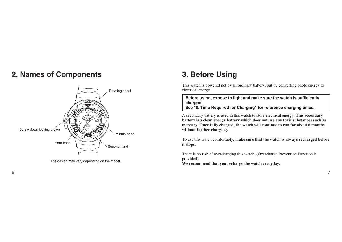## **2. Names of Components 3. Before Using**



The design may vary depending on the model.

This watch is powered not by an ordinary battery, but by converting photo energy to electrical energy.

**Before using, expose to light and make sure the watch is sufficiently charged.** 

**See "8. Time Required for Charging" for reference charging times.** 

A secondary battery is used in this watch to store electrical energy. **This secondary battery is a clean energy battery which does not use any toxic substances such as mercury. Once fully charged, the watch will continue to run for about 6 months without further charging.** 

To use this watch comfortably, **make sure that the watch is always recharged before it stops.**

There is no risk of overcharging this watch. (Overcharge Prevention Function is provided)

**We recommend that you recharge the watch everyday.**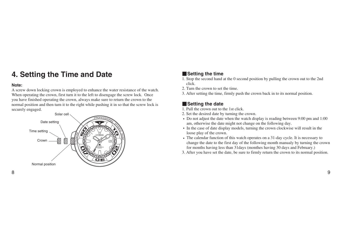# **4. Setting the Time and Date**

#### **Note:**

A screw down locking crown is employed to enhance the water resistance of the watch. When operating the crown, first turn it to the left to disengage the screw lock. Once you have finished operating the crown, always make sure to return the crown to the normal position and then turn it to the right while pushing it in so that the screw lock is securely engaged.



### W**Setting the time**

- 1. Stop the second hand at the 0 second position by pulling the crown out to the 2nd click.
- 2. Turn the crown to set the time.
- 3. After setting the time, firmly push the crown back in to its normal position.

### W**Setting the date**

1. Pull the crown out to the 1st click.

- 2. Set the desired date by turning the crown.
- Do not adjust the date when the watch display is reading between 9:00 pm and 1:00 am, otherwise the date might not change on the following day.
- In the case of date display models, turning the crown clockwise will result in the loose play of the crown.
- The calendar function of this watch operates on a 31-day cycle. It is necessary to change the date to the first day of the following month manualy by turning the crown for months having less than 31days (monthes having 30 days and February.)
- 3. After you have set the date, be sure to firmly return the crown to its normal position.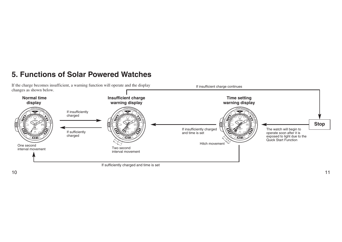# **5. Functions of Solar Powered Watches**

If the charge becomes insufficient, a warning function will operate and the display changes as shown below.

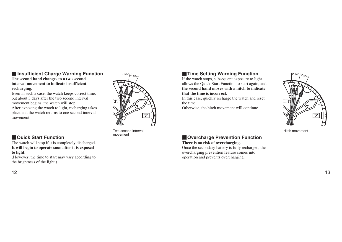#### $\blacksquare$  **Insufficient Charge Warning Function The second hand changes to a two second**

### **interval movement to indicate insufficient recharging.**

Even in such a case, the watch keeps correct time, but about 3 days after the two second interval movement begins, the watch will stop. After exposing the watch to light, recharging takes place and the watch returns to one second interval movement.

### **WAGUICA Start Function**

The watch will stop if it is completely discharged. **It will begin to operate soon after it is exposed to light.** 

(However, the time to start may vary according to the brightness of the light.)



Two second interval movement

### **K**Time Setting Warning Function

If the watch stops, subsequent exposure to light allows the Quick Start Function to start again, and **the second hand moves with a hitch to indicate that the time is incorrect.**

In this case, quickly recharge the watch and reset the time.

Otherwise, the hitch movement will continue.



Hitch movement

### **NOvercharge Prevention Function**

#### **There is no risk of overcharging.**

Once the secondary battery is fully recharged, the overcharging prevention feature comes into operation and prevents overcharging.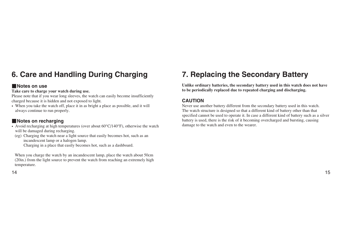# **6. Care and Handling During Charging**

#### **Notes on use**

#### **Take care to charge your watch during use.**

Please note that if you wear long sleeves, the watch can easily become insufficiently charged because it is hidden and not exposed to light.

• When you take the watch off, place it in as bright a place as possible, and it will always continue to run properly.

### **Notes on recharging**

- Avoid recharging at high temperatures (over about  $60^{\circ}C/140^{\circ}F$ ), otherwise the watch will be damaged during recharging.
- (eg) Charging the watch near a light source that easily becomes hot, such as an incandescent lamp or a halogen lamp.

Charging in a place that easily becomes hot, such as a dashboard.

When you charge the watch by an incandescent lamp, place the watch about 50cm (20in.) from the light source to prevent the watch from reaching an extremely high temperature.

# **7. Replacing the Secondary Battery**

**Unlike ordinary batteries, the secondary battery used in this watch does not have to be periodically replaced due to repeated charging and discharging.**

#### **CAUTION**

Never use another battery different from the secondary battery used in this watch. The watch structure is designed so that a different kind of battery other than that specified cannot be used to operate it. In case a different kind of battery such as a silver battery is used, there is the risk of it becoming overcharged and bursting, causing damage to the watch and even to the wearer.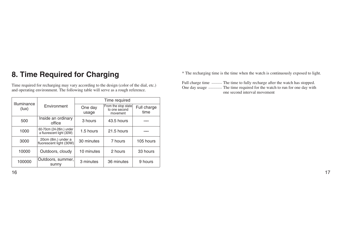# **8. Time Required for Charging**

Time required for recharging may vary according to the design (color of the dial, etc.) and operating environment. The following table will serve as a rough reference.

| Illuminance                                                   |                                                | Time required    |                                                  |                     |  |  |
|---------------------------------------------------------------|------------------------------------------------|------------------|--------------------------------------------------|---------------------|--|--|
| (lux)                                                         | Environment                                    | One day<br>usage | From the stop state<br>to one second<br>movement | Full charge<br>time |  |  |
| 500                                                           | Inside an ordinary<br>office                   | 3 hours          | 43.5 hours                                       |                     |  |  |
| 60-70cm (24-28in.) under<br>1000<br>a fluorescent light (30W) |                                                | 1.5 hours        | 21.5 hours                                       |                     |  |  |
| 3000                                                          | 20cm (8in.) under a<br>fluorescent light (30W) | 30 minutes       | 7 hours                                          | 105 hours           |  |  |
| 10000                                                         | Outdoors, cloudy                               | 10 minutes       | 2 hours                                          | 33 hours            |  |  |
| 100000                                                        | Outdoors, summer,<br>sunny                     | 3 minutes        | 36 minutes                                       | 9 hours             |  |  |

\* The recharging time is the time when the watch is continuously exposed to light.

Full charge time .......... The time to fully recharge after the watch has stopped. One day usage ............. The time required for the watch to run for one day with one second interval movement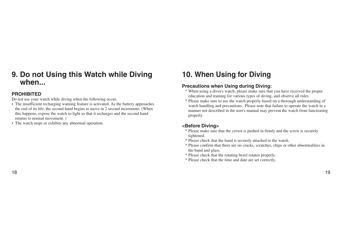### **9. Do not Using this Watch while Diving when...**

#### **PROHIBITED**

Do not use your watch while diving when the following occur.

- The insufficient recharging warning feature is activated. As the battery approaches the end of its life, the second hand begins to move in 2 second increments. (When this happens, expose the watch to light so that it recharges and the second hand returns to normal movement. )
- The watch stops or exhibits any abnormal operation.

# **10. When Using for Diving**

#### **Precautions when Using during Diving:**

- \* When using a diver's watch, please make sure that you have received the proper education and training for various types of diving, and observe all rules.
- \* Please make sure to use the watch properly based on a thorough understanding of watch handling and precautions. Please note that failure to operate the watch in a manner not described in the user's manual may prevent the watch from functioning properly.

#### **<Before Diving>**

- \* Please make sure that the crown is pushed in firmly and the screw is securely tightened.
- \* Please check that the band is securely attached to the watch.
- \* Please confirm that there are no cracks, scratches, chips or other abnormalities in the band and glass.
- \* Please check that the rotating bezel rotates properly.
- \* Please check that the time and date are set correctly.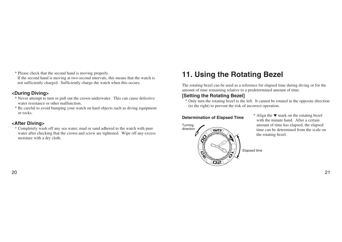\* Please check that the second hand is moving properly.

If the second hand is moving at two-second intervals, this means that the watch is not sufficiently charged. Sufficiently charge the watch when this occurs.

#### **<During Diving>**

- \* Never attempt to turn or pull out the crown underwater. This can cause defective water resistance or other malfunction.
- \* Be careful to avoid bumping your watch on hard objects such as diving equipment or rocks.

#### **<After Diving>**

\* Completely wash off any sea water, mud or sand adhered to the watch with pure water after checking that the crown and screw are tightened. Wipe off any excess moisture with a dry cloth.

# **11. Using the Rotating Bezel**

The rotating bezel can be used as a reference for elapsed time during diving or for the amount of time remaining relative to a predetermined amount of time.

#### **[Setting the Rotating Bezel]**

\* Only turn the rotating bezel to the left. It cannot be rotated in the opposite direction (to the right) to prevent the risk of incorrect operation.

#### **Determination of Elapsed Time**



\* Align the ▼ mark on the rotating bezel with the minute hand. After a certain amount of time has elapsed, the elapsed time can be determined from the scale on the rotating bezel.

Elapsed time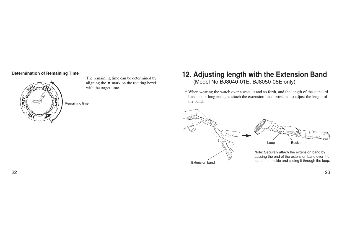#### **Determination of Remaining Time**



\* The remaining time can be determined by aligning the  $\nabla$  mark on the rotating bezel with the target time.

Remaining time

### **12. Adjusting length with the Extension Band** (Model No.BJ8040-01E, BJ8050-08E only)

\* When wearing the watch over a wetsuit and so forth, and the length of the standard band is not long enough, attach the extension band provided to adjust the length of the band.



22 23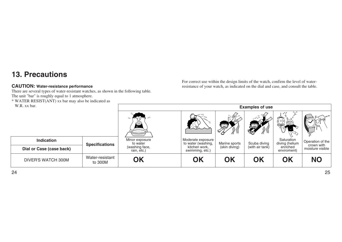## **13. Precautions**

#### **CAUTION: Water-resistance performance**

There are several types of water-resistant watches, as shown in the following table. The unit "bar" is roughly equal to 1 atmosphere.

\* WATER RESIST(ANT) xx bar may also be indicated as W.R. xx bar.

For correct use within the design limits of the watch, confirm the level of waterresistance of your watch, as indicated on the dial and case, and consult the table.

| W.R. XX bar.              |                            | <b>Examples of use</b>        |                                         |               |                                            |                              |                                |
|---------------------------|----------------------------|-------------------------------|-----------------------------------------|---------------|--------------------------------------------|------------------------------|--------------------------------|
|                           |                            | کردے)                         |                                         | Q)            | $\circ$ %<br>$\circ$ $\circ$ $\circ$<br>œg | ి                            |                                |
| <b>Indication</b>         | <b>Specifications</b>      | Minor exposure<br>to water    | Moderate exposure<br>to water (washing, | Marine sports | Scuba diving                               | Saturation<br>diving (helium | Operation of the<br>crown with |
| Dial or Case (case back)  |                            | (washing face,<br>rain, etc.) | kitchen work,<br>swimming, etc.)        | (skin diving) | (with air tank)                            | enriched<br>enviroment)      | moisture visible               |
| <b>DIVER'S WATCH 300M</b> | Water-resistant<br>to 300M | OK                            | OK                                      | OK            | OK                                         | OK                           | <b>NO</b>                      |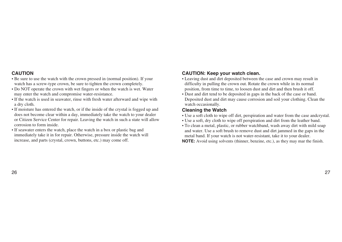#### **CAUTION**

- Be sure to use the watch with the crown pressed in (normal position). If your watch has a screw-type crown, be sure to tighten the crown completely.
- Do NOT operate the crown with wet fingers or when the watch is wet. Water may enter the watch and compromise water-resistance.
- If the watch is used in seawater, rinse with fresh water afterward and wipe with a dry cloth.
- If moisture has entered the watch, or if the inside of the crystal is fogged up and does not become clear within a day, immediately take the watch to your dealer or Citizen Service Center for repair. Leaving the watch in such a state will allow corrosion to form inside.
- If seawater enters the watch, place the watch in a box or plastic bag and immediately take it in for repair. Otherwise, pressure inside the watch will increase, and parts (crystal, crown, buttons, etc.) may come off.

#### **CAUTION: Keep your watch clean.**

- Leaving dust and dirt deposited between the case and crown may result in difficulty in pulling the crown out. Rotate the crown while in its normal position, from time to time, to loosen dust and dirt and then brush it off.
- Dust and dirt tend to be deposited in gaps in the back of the case or band. Deposited dust and dirt may cause corrosion and soil your clothing. Clean the watch occasionally.

#### **Cleaning the Watch**

- Use a soft cloth to wipe off dirt, perspiration and water from the case andcrystal.
- Use a soft, dry cloth to wipe off perspiration and dirt from the leather band.
- To clean a metal, plastic, or rubber watchband, wash away dirt with mild soap and water. Use a soft brush to remove dust and dirt jammed in the gaps in the metal band. If your watch is not water-resistant, take it to your dealer.

**NOTE:** Avoid using solvents (thinner, benzine, etc.), as they may mar the finish.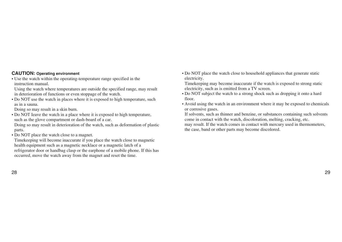#### **CAUTION: Operating environment**

• Use the watch within the operating-temperature range specified in the instruction manual.

Using the watch where temperatures are outside the specified range, may result in deterioration of functions or even stoppage of the watch.

• Do NOT use the watch in places where it is exposed to high temperature, such as in a sauna.

Doing so may result in a skin burn.

• Do NOT Ieave the watch in a place where it is exposed to high temperature, such as the glove compartment or dash-board of a car.

Doing so may result in deterioration of the watch, such as deformation of plastic parts.

• Do NOT place the watch close to a magnet.

Timekeeping will become inaccurate if you place the watch close to magnetic health equipment such as a magnetic necklace or a magnetic latch of a refrigerator door or handbag clasp or the earphone of a mobile phone. If this has occurred, move the watch away from the magnet and reset the time.

• Do NOT place the watch close to household appliances that generate static electricity.

Timekeeping may become inaccurate if the watch is exposed to strong static electricity, such as is emitted from a TV screen.

- Do NOT subject the watch to a strong shock such as dropping it onto a hard floor.
- Avoid using the watch in an environment where it may be exposed to chemicals or corrosive gases.

If solvents, such as thinner and benzine, or substances containing such solvents come in contact with the watch, discoloration, melting, cracking, etc.

may result. If the watch comes in contact with mercury used in thermometers, the case, band or other parts may become discolored.